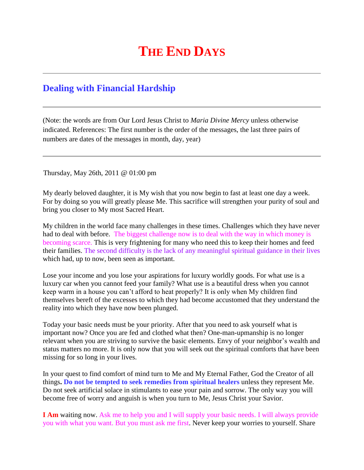## **THE END DAYS**

## **[Dealing with Financial Hardship](http://www.thewarningsecondcoming.com/dealing-with-financial-hardship/)**

(Note: the words are from Our Lord Jesus Christ to *Maria Divine Mercy* unless otherwise indicated. References: The first number is the order of the messages, the last three pairs of numbers are dates of the messages in month, day, year)

Thursday, May 26th, 2011 @ 01:00 pm

My dearly beloved daughter, it is My wish that you now begin to fast at least one day a week. For by doing so you will greatly please Me. This sacrifice will strengthen your purity of soul and bring you closer to My most Sacred Heart.

My children in the world face many challenges in these times. Challenges which they have never had to deal with before. The biggest challenge now is to deal with the way in which money is becoming scarce. This is very frightening for many who need this to keep their homes and feed their families. The second difficulty is the lack of any meaningful spiritual guidance in their lives which had, up to now, been seen as important.

Lose your income and you lose your aspirations for luxury worldly goods. For what use is a luxury car when you cannot feed your family? What use is a beautiful dress when you cannot keep warm in a house you can't afford to heat properly? It is only when My children find themselves bereft of the excesses to which they had become accustomed that they understand the reality into which they have now been plunged.

Today your basic needs must be your priority. After that you need to ask yourself what is important now? Once you are fed and clothed what then? One-man-upmanship is no longer relevant when you are striving to survive the basic elements. Envy of your neighbor's wealth and status matters no more. It is only now that you will seek out the spiritual comforts that have been missing for so long in your lives.

In your quest to find comfort of mind turn to Me and My Eternal Father, God the Creator of all things**. Do not be tempted to seek remedies from spiritual healers** unless they represent Me. Do not seek artificial solace in stimulants to ease your pain and sorrow. The only way you will become free of worry and anguish is when you turn to Me, Jesus Christ your Savior.

**I Am** waiting now. Ask me to help you and I will supply your basic needs. I will always provide you with what you want. But you must ask me first. Never keep your worries to yourself. Share